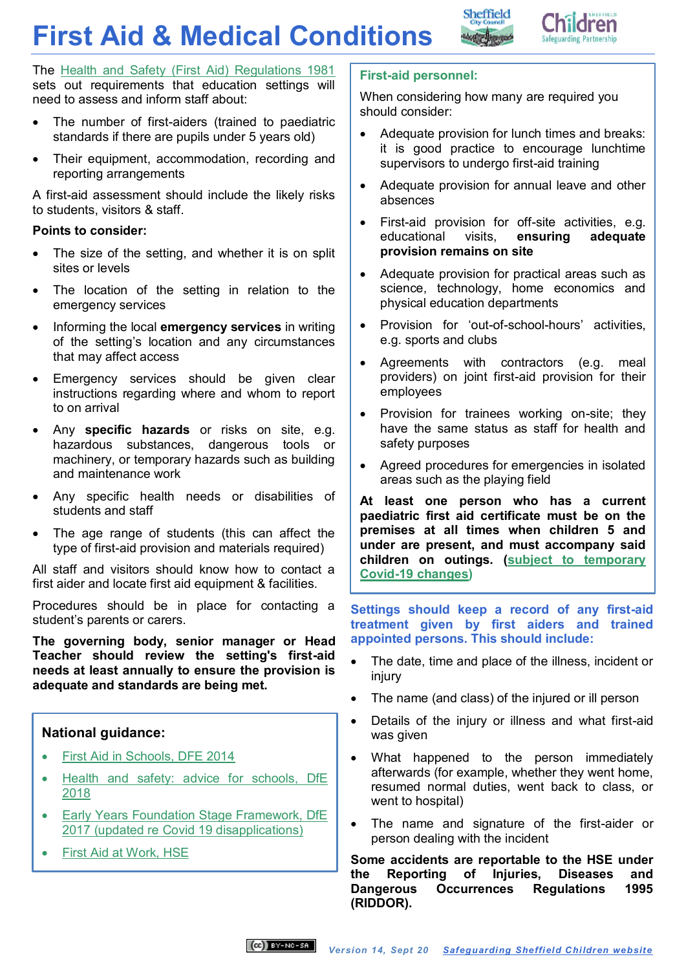# **First Aid & Medical Conditions**





The [Health and Safety \(First Aid\) Regulations 1981](http://www.hse.gov.uk/pubns/priced/l74.pdf) sets out requirements that education settings will need to assess and inform staff about:

- The number of first-aiders (trained to paediatric standards if there are pupils under 5 years old)
- Their equipment, accommodation, recording and reporting arrangements

A first-aid assessment should include the likely risks to students, visitors & staff.

# **[Points to consider:](https://www.gov.uk/government/uploads/system/uploads/attachment_data/file/306370/guidance_on_first_aid_for_schools.pdf)**

- The size of the setting, and whether it is on split sites or levels
- The location of the setting in relation to the emergency services
- **•** Informing the local **emergency services** in writing of the setting's location and any circumstances that may affect access
- Emergency services should be given clear instructions regarding where and whom to report to on arrival
- Any **specific hazards** or risks on site, e.g. hazardous substances, dangerous tools or machinery, or temporary hazards such as building and maintenance work
- Any specific health needs or disabilities of students and staff
- The age range of students (this can affect the type of first-aid provision and materials required)

All staff and visitors should know how to contact a first aider and locate first aid equipment & facilities.

Procedures should be in place for contacting a student's parents or carers.

**The governing body, senior manager or Head Teacher should review the setting's first-aid needs at least annually to ensure the provision is adequate and standards are being met.**

# **National guidance:**

- [First Aid in Schools, DFE 2014](https://www.gov.uk/government/publications/first-aid-in-schools)
- [Health and safety: advice](https://www.gov.uk/government/publications/health-and-safety-advice-for-schools) for schools, DfE [2018](https://www.gov.uk/government/publications/health-and-safety-advice-for-schools)
- [Early Years Foundation Stage Framework, DfE](https://www.gov.uk/government/publications/early-years-foundation-stage-framework--2)  [2017 \(updated re Covid 19 disapplications\)](https://www.gov.uk/government/publications/early-years-foundation-stage-framework--2)
- [First Aid at Work, HSE](http://www.hse.gov.uk/firstaid/index.htm)

# **First-aid personnel:**

When considering how many are required you should consider:

- Adequate provision for lunch times and breaks: it is good practice to encourage lunchtime supervisors to undergo first-aid training
- Adequate provision for annual leave and other absences
- First-aid provision for off-site activities, e.g. educational visits, **ensuring adequate provision remains on site**
- Adequate provision for practical areas such as science, technology, home economics and physical education departments
- Provision for 'out-of-school-hours' activities, e.g. sports and clubs
- Agreements with contractors (e.g. meal providers) on joint first-aid provision for their employees
- Provision for trainees working on-site; they have the same status as staff for health and safety purposes
- Agreed procedures for emergencies in isolated areas such as the playing field

**At least one person who has a current paediatric first aid certificate must be on the premises at all times when children 5 and under are present, and must accompany said children on outings. [\(subject to temporary](https://www.gov.uk/government/publications/early-years-foundation-stage-framework--2/early-years-foundation-stage-coronavirus-disapplications)  [Covid-19 changes\)](https://www.gov.uk/government/publications/early-years-foundation-stage-framework--2/early-years-foundation-stage-coronavirus-disapplications)**

**Settings should keep a record of any first-aid treatment given by first aiders and trained appointed persons. This should include:** 

- The date, time and place of the illness, incident or injury
- The name (and class) of the injured or ill person
- Details of the injury or illness and what first-aid was given
- What happened to the person immediately afterwards (for example, whether they went home, resumed normal duties, went back to class, or went to hospital)
- The name and signature of the first-aider or person dealing with the incident

**Some accidents are reportable to the HSE under the Reporting of Injuries, Diseases and Dangerous Occurrences Regulations 1995 (RIDDOR).**